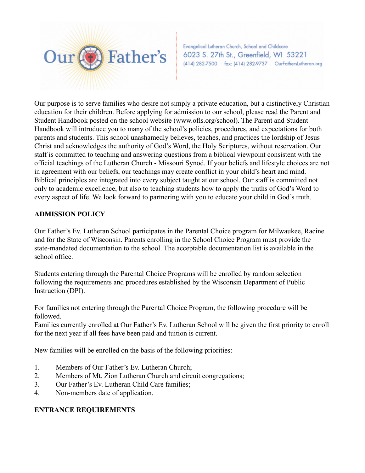

Evangelical Lutheran Church, School and Childcare 6023 S. 27th St., Greenfield, WI 53221 (414) 282-7500 fax: (414) 282-9737 OurFathersLutheran.org

Our purpose is to serve families who desire not simply a private education, but a distinctively Christian education for their children. Before applying for admission to our school, please read the Parent and Student Handbook posted on the school website (www.ofls.org/school). The Parent and Student Handbook will introduce you to many of the school's policies, procedures, and expectations for both parents and students. This school unashamedly believes, teaches, and practices the lordship of Jesus Christ and acknowledges the authority of God's Word, the Holy Scriptures, without reservation. Our staff is committed to teaching and answering questions from a biblical viewpoint consistent with the official teachings of the Lutheran Church - Missouri Synod. If your beliefs and lifestyle choices are not in agreement with our beliefs, our teachings may create conflict in your child's heart and mind. Biblical principles are integrated into every subject taught at our school. Our staff is committed not only to academic excellence, but also to teaching students how to apply the truths of God's Word to every aspect of life. We look forward to partnering with you to educate your child in God's truth.

## **ADMISSION POLICY**

Our Father's Ev. Lutheran School participates in the Parental Choice program for Milwaukee, Racine and for the State of Wisconsin. Parents enrolling in the School Choice Program must provide the state-mandated documentation to the school. The acceptable documentation list is available in the school office.

Students entering through the Parental Choice Programs will be enrolled by random selection following the requirements and procedures established by the Wisconsin Department of Public Instruction (DPI).

For families not entering through the Parental Choice Program, the following procedure will be followed.

Families currently enrolled at Our Father's Ev. Lutheran School will be given the first priority to enroll for the next year if all fees have been paid and tuition is current.

New families will be enrolled on the basis of the following priorities:

- 1. Members of Our Father's Ev. Lutheran Church;
- 2. Members of Mt. Zion Lutheran Church and circuit congregations;
- 3. Our Father's Ev. Lutheran Child Care families;
- 4. Non-members date of application.

## **ENTRANCE REQUIREMENTS**